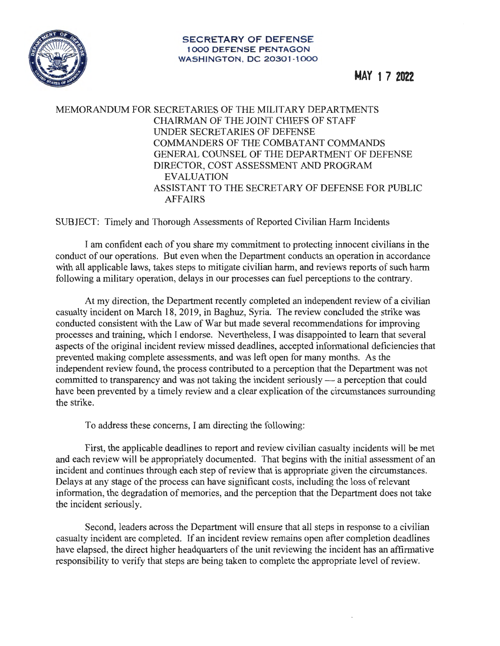

**MAY 1 7 2022** 

## MEMORANDUM FOR SECRETARIES OF THE MILITARY DEPARTMENTS CHAIRMAN OF THE JOINT CHIEFS OF STAFF UNDER SECRET ARIES OF DEFENSE COMMANDERS OF THE COMBATANT COMMANDS GENERAL COUNSEL OF THE DEPARTMENT OF DEFENSE DIRECTOR, COST ASSESSMENT AND PROGRAM EVALUATION ASSISTANT TO THE SECRETARY OF DEFENSE FOR PUBLIC AFFAIRS

SUBJECT: Timely and Thorough Assessments of Reported Civilian Harm Incidents

I am confident each of you share my commitment to protecting innocent civilians in the conduct of our operations. But even when the Department conducts an operation in accordance with all applicable laws, takes steps to mitigate civilian harm, and reviews reports of such harm following a military operation, delays in our processes can fuel perceptions to the contrary.

At my direction, the Department recently completed an independent review of a civilian casualty incident on March 18, 2019, in Baghuz, Syria. The review concluded the strike was conducted consistent with the Law of War but made several recommendations for improving processes and training, which I endorse. Nevertheless, I was disappointed to learn that several aspects of the original incident review missed deadlines, accepted informational deficiencies that prevented making complete assessments, and was left open for many months. As the independent review found, the process contributed to a perception that the Department was not committed to transparency and was not taking the incident seriously - a perception that could have been prevented by a timely review and a clear explication of the circumstances surrounding the strike.

To address these concerns, I am directing the following:

First, the applicable deadlines to report and review civilian casualty incidents will be met and each review will be appropriately documented. That begins with the initial assessment of an incident and continues through each step of review that is appropriate given the circumstances. Delays at any stage of the process can have significant costs, including the loss ofrelevant information, the degradation of memories, and the perception that the Department does not take the incident seriously.

Second, leaders across the Department will ensure that all steps in response to a civilian casualty incident are completed. If an incident review remains open after completion deadlines have elapsed, the direct higher headquarters of the unit reviewing the incident has an affirmative responsibility to verify that steps are being taken to complete the appropriate level of review.